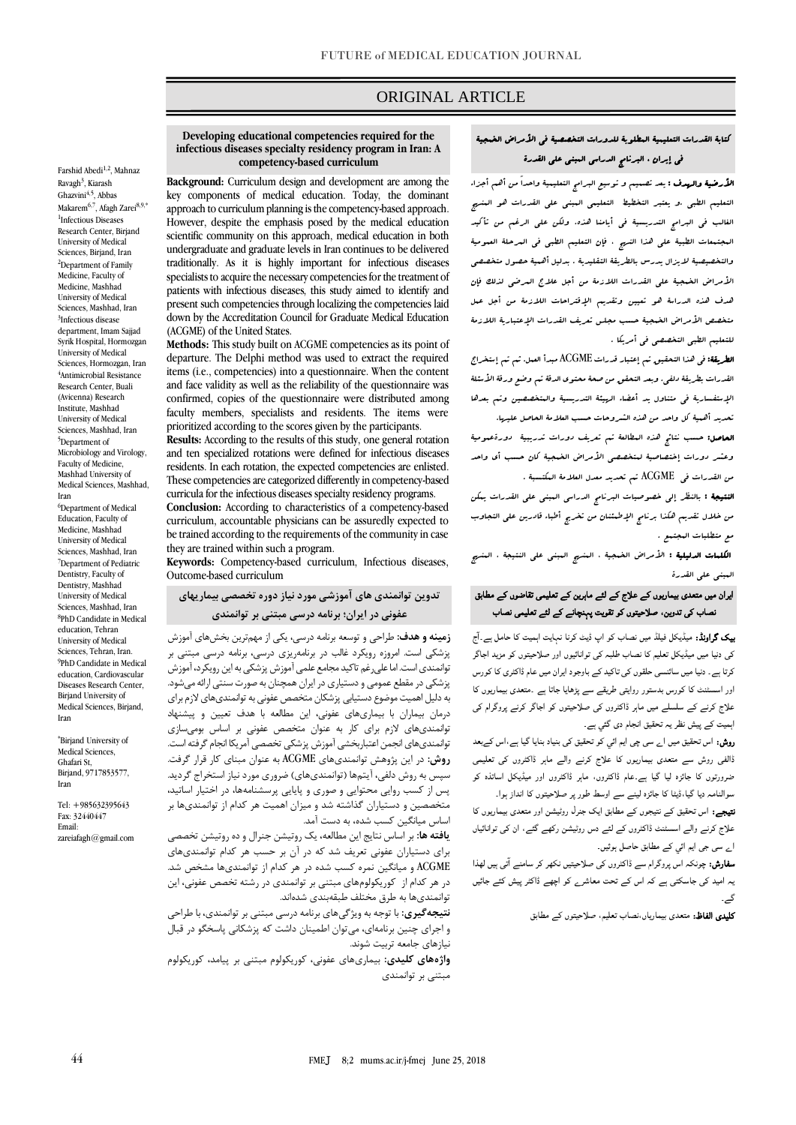# ORIGINAL ARTICLE

### **Developing educational competencies required for the infectious diseases specialty residency program in Iran: A competency-based curriculum**

**Background:** Curriculum design and development are among the key components of medical education. Today, the dominant approach to curriculum planning is the competency-based approach. However, despite the emphasis posed by the medical education scientific community on this approach, medical education in both undergraduate and graduate levels in Iran continues to be delivered traditionally. As it is highly important for infectious diseases specialists to acquire the necessary competencies for the treatment of patients with infectious diseases, this study aimed to identify and present such competencies through localizing the competencies laid down by the Accreditation Council for Graduate Medical Education (ACGME) of the United States.

**Methods:** This study built on ACGME competencies as its point of departure. The Delphi method was used to extract the required items (i.e., competencies) into a questionnaire. When the content and face validity as well as the reliability of the questionnaire was confirmed, copies of the questionnaire were distributed among faculty members, specialists and residents. The items were prioritized according to the scores given by the participants.

**Results:** According to the results of this study, one general rotation and ten specialized rotations were defined for infectious diseases residents. In each rotation, the expected competencies are enlisted. These competencies are categorized differently in competency-based curricula for the infectious diseases specialty residency programs.

**Conclusion:** According to characteristics of a competency-based curriculum, accountable physicians can be assuredly expected to be trained according to the requirements of the community in case they are trained within such a program.

**Keywords:** Competency-based curriculum, Infectious diseases, Outcome-based curriculum

## **تدوین توانمندی های آموزشی مورد نیاز دوره تخصصی بیماریهای عفونی در ایران؛ برنامه درسی مبتنی بر توانمندی**

**زمینه و هدف:** طراحی و توسعه برنامه درسی، یکی از مهمترین بخشهاي آموزش پزشکی است. امروزه رویکرد غالب در برنامهریزي درسی، برنامه درسی مبتنی بر توانمندي است. اما علیرغم تاکید مجامع علمی آموزش پزشکی به این رویکرد، آموزش پزشکی در مقطع عمومی و دستیاري در ایران همچنان به صورت سنتی ارائه میشود. به دلیل اهمیت موضوع دستیابی پزشکان متخصص عفونی به توانمنديهاي الز براي درمان بیماران با بیماريهاي عفونی، این مطالعه با هدف تعیین و پیشنهاد توانمندیهای لازم برای کار به عنوان متخصص عفونی بر اساس بومیسازی توانمنديهاي انجمن اعتباربخشي آموزش پزشکي تخصصي آمريکا انجام گرفته است. **روش:** در این پژوهش توانمنديهاي ACGME به عنوان مبناي کار قرار گرفت. سپس به روش دلفي، آیتمها (توانمنديهاي) ضروري مورد نیاز استخراج گردید. پس از کسب روایی محتوایی و صوري و پایایی پرسشنامهها، در اختیار اساتید، متخصصین و دستیاران گذاشته شد و میزان اهمیت هر کدام از توانمندیها بر اساس میانگین کسب شده، به دست آمد.

**یافته ها:** بر اساس نتایج این مطالعه، یک روتیشن جنرال و ده روتیشن تخصصی برای دستیاران عفونی تعریف شد که در آن بر حسب هر کدام توانمندیهای ACGME و میانگین نمره کسب شده در هر کدام از توانمندیها مشخص شد. در هر کدام از کوریکولومهای مبتنی بر توانمندی در رشته تخصص عفونی، این توانمنديها به طرق مختلف طبقهبندي شدهاند.

**نتیجهگیری:** با توجه به ویژگیهاي برنامه درسی مبتنی بر توانمندي، با طراحی و اجراي چنین برنامهاي، میتوان اطمینان داشت که پزشکانی پاسخگو در قبال نیازهاي جامعه تربیت شوند.

**واژههای کلیدی:** بیماريهاي عفونی، کوریکولو مبتنی بر پیامد، کوریکولو مبتنی بر توانمندي

# كتابة القدرات التعليمية المطلوبة للدورات التخصصية في األمراض الخمجية في إيران ، البرنامج الدراسي المبني على القدرة

ص

**الأرضية والهدف :** يعد تصبيم و توسيع البرامج التعليمية واحداً من أهم أجزاء التعليم الطبي .و يعتبر التخطيط التعليمي المبني على القدرات هو المنهج الغالب في البرامج التدريسية في أيامنا هذه. ولكن على الرغم من تأكيد المجتمعات الطبية على هذا النهج ، فإن التعليم الطبي في المرحلة العمومية والتخصيصية اليزال يدرس بالطريقة التقليدية . بدليل أهمية حصول متخصصي األمراض الخمجية على القدرات الالزمة من أجل عالج المرضى لذلك فإن هدف هذه الدراسة هو تعيين وتقديم اإلقتراحات الالزمة من أجل عمل متخصص الأمراض الخهجية حسب مجلس تعريف القدرات الإعتبارية اللازمة للتعليم الطبي التخصصي في أمريكا .

الطريقة: في هذا التحقيق تم إعتبار قدرات ACGME مبدأ العمل. ثم تم إستخراج القدرات بطريقة دلفى. وبعد التحقق من صحة محتوى الدقة تب وضع ورقة الأسئلة اإلستفسارية في متناول يد أعضاء الهيئة التدريسية والمتخصصين وتم بعدها تحديد أهمية كل واحد من هذه الشروحات حسب العالمة الحاصل عليها.

الحاصل: حسب نتائج هذه المطالعة تم تعريف دورات تدريبية دورةعمومية وعشر دورات إختصاصية ليتخصصي الأمراض الخبجية كان حسب أى واحد من القدرات في ACGME تم تحديد معدل العالمة المكتسبة .

النتيجة : بالنظر إلى خصوصيات البرنامج الدراسي المبني على القدرات يمكن من خالل تقديم هكذا برنامج اإلطمئنان من تخريج أطباء قادرين على التجاوب مع متطلبات المجتمع .

ا**لكلمات الدليلية :** الأمراض الضجية ، المنهج المبنى على النتيجة ، المنهج المبني على القدرة

## ایران میں متعدی بیماریوں کے علاج کے لئے ماہرین کے تعلیمی تقاضوں کے مطابق نصاب کی تدوین، صلاحیتوں کو تقویت پہنچانے کے لئے تعلیمی نصاب

**یک گراونڈ:** میڈیکل فیلڈ میں نصاب کو اپ ڈیٹ کرنا نہایت اہمیت کا حامل ہے۔آج کی دنیا میں میڈیکل تعلیم کا نصاب طلبہ کی توانائيوں اور صلاحیتوں کو مزید اجاگر کرتا ہے۔ دنیا میں سائنسی حلقوں کی تاکید کے باوجود ایران میں عام ڈاکٹری کا کورس اور اسسٹنٹ کا کورس بدستور روایتی طریقے سے پڑھایا جاتا ہے ۔متعدی بیماریوں کا علاج کرنے کے سلسلے میں ماہر ڈاکٹروں کی صلاحیتوں کو اجاگر کرنے پروگرام کی اہمیت کے پیش نظر یہ تحقیق انجام دی گئي ہے۔

روش: اس تحقیق میں اے سی چی ایم ائي کو تحقیق کی بنیاد بنایا گیا ہے،اس کےبعد ڈالفی روش سے متعدی بیماریوں کا علاج کرنے والے ماہر ڈاکٹروں کی تعلیمی ضرورتوں کا جائزہ لیا گيا ہے۔عام ڈاکٹروں، ماہر ڈاکٹروں اور میڈیکل اساتذہ کو سوالنامہ دیا گيا،ڈیٹا کا جائزہ لینے سے اوسط طور پر صلاحیتوں کا انداز ہوا۔

نتیجے: اس تحقیق کے نتیجوں کے مطابق ایک جنرل روٹیشن اور متعدی بیماریوں کا علاج کرنے والے اسسٹنٹ ڈاکٹروں کے لئے دس روٹیشن رکھے گئے، ان کی توانائياں اے سی جی ایم ائي کے مطابق حاصل ہوئيں۔

**سفارش:** چونکہ اس پروگرام سے ڈاکٹروں کی صلاحیتیں نکھر کر سامنے آتی ہیں لھذا یہ امید کی جاسکتی ہے کہ اس کے تحت معاشرے کو اچھے ڈاکٹر پیش کئے جائيں گے۔

کلیدی الفاظ: متعدی بیماریاں،نصاب تعلیم، صلاحیتوں کے مطابق

Farshid Abedi<sup>1,2</sup>, Mahnaz Ravagh<sup>3</sup>, Kiarash Ghazvini4,5, Abbas Makarem<sup>6,7</sup>, Afagh Zarei<sup>8,9,\*</sup> 1 Infectious Diseases Research Center, Birjand University of Medical Sciences, Birjand, Iran <sup>2</sup>Department of Family Medicine, Faculty of Medicine, Mashhad University of Medical Sciences, Mashhad, Iran 3 Infectious disease department, Imam Sajjad Syrik Hospital, Hormozgan University of Medical Sciences, Hormozgan, Iran 4 Antimicrobial Resistance Research Center, Buali (Avicenna) Research Institute, Mashhad University of Medical Sciences, Mashhad, Iran <sup>5</sup>Department of Microbiology and Virology, Faculty of Medicine, Mashhad University of Medical Sciences, Mashhad,

Iran

Iran

Iran

\*Birjand University of Medical Sciences. Ghafari St, Birjand, 9717853577,

Tel: +985632395643 Fax: 32440447 Email:

[za](mailto:esmaeili.r@gmu.ac.ir)reiafagh@gmail.com

<sup>6</sup>Department of Medical Education, Faculty of Medicine, Mashhad University of Medical Sciences, Mashhad, Iran <sup>7</sup>Department of Pediatric Dentistry, Faculty of Dentistry, Mashhad University of Medical Sciences, Mashhad, Iran 8 PhD Candidate in Medical education, Tehran University of Medical Sciences, Tehran, Iran. 9 PhD Candidate in Medical education, Cardiovascular Diseases Research Center, Birjand University of Medical Sciences, Birjand,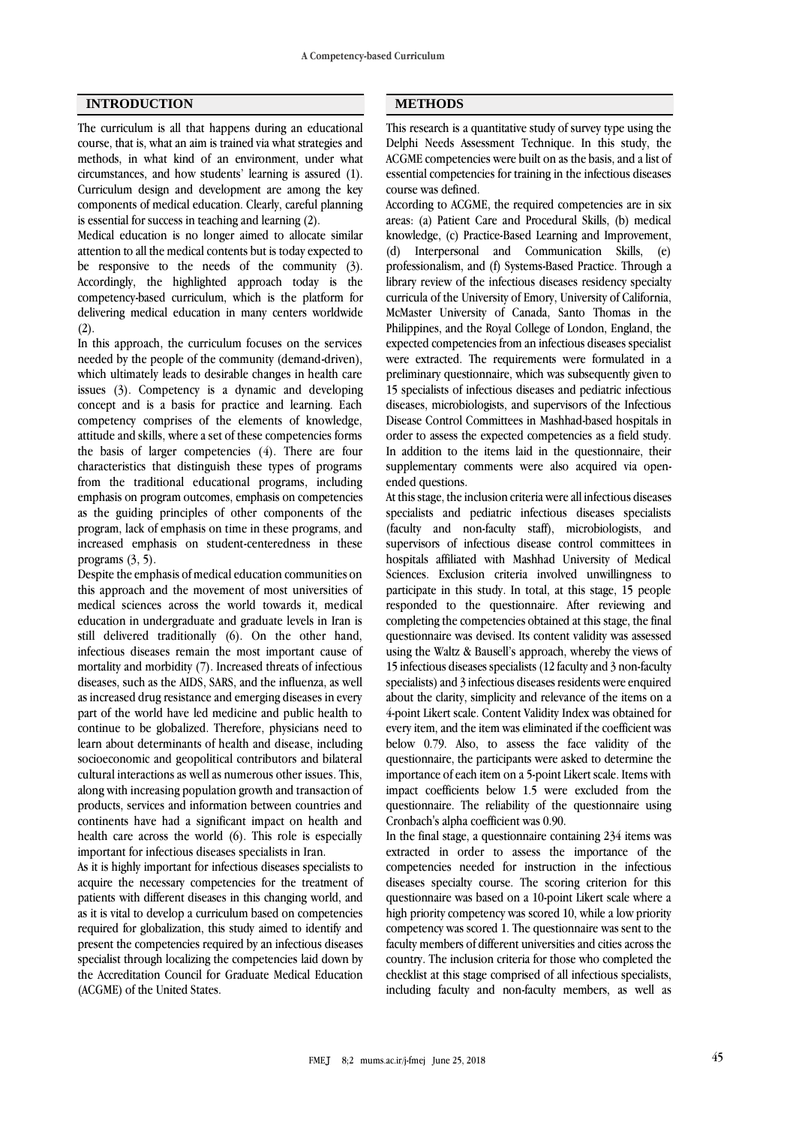### **INTRODUCTION METHODS**

The curriculum is all that happens during an educational course, that is, what an aim is trained via what strategies and methods, in what kind of an environment, under what circumstances, and how students' learning is assured (1). Curriculum design and development are among the key components of medical education. Clearly, careful planning is essential for success in teaching and learning (2).

Medical education is no longer aimed to allocate similar attention to all the medical contents but is today expected to be responsive to the needs of the community (3). Accordingly, the highlighted approach today is the competency-based curriculum, which is the platform for delivering medical education in many centers worldwide (2).

In this approach, the curriculum focuses on the services needed by the people of the community (demand-driven), which ultimately leads to desirable changes in health care issues (3). Competency is a dynamic and developing concept and is a basis for practice and learning. Each competency comprises of the elements of knowledge, attitude and skills, where a set of these competencies forms the basis of larger competencies (4). There are four characteristics that distinguish these types of programs from the traditional educational programs, including emphasis on program outcomes, emphasis on competencies as the guiding principles of other components of the program, lack of emphasis on time in these programs, and increased emphasis on student-centeredness in these programs (3, 5).

Despite the emphasis of medical education communities on this approach and the movement of most universities of medical sciences across the world towards it, medical education in undergraduate and graduate levels in Iran is still delivered traditionally (6). On the other hand, infectious diseases remain the most important cause of mortality and morbidity (7). Increased threats of infectious diseases, such as the AIDS, SARS, and the influenza, as well as increased drug resistance and emerging diseases in every part of the world have led medicine and public health to continue to be globalized. Therefore, physicians need to learn about determinants of health and disease, including socioeconomic and geopolitical contributors and bilateral cultural interactions as well as numerous other issues. This, along with increasing population growth and transaction of products, services and information between countries and continents have had a significant impact on health and health care across the world (6). This role is especially important for infectious diseases specialists in Iran.

As it is highly important for infectious diseases specialists to acquire the necessary competencies for the treatment of patients with different diseases in this changing world, and as it is vital to develop a curriculum based on competencies required for globalization, this study aimed to identify and present the competencies required by an infectious diseases specialist through localizing the competencies laid down by the Accreditation Council for Graduate Medical Education (ACGME) of the United States.

This research is a quantitative study of survey type using the Delphi Needs Assessment Technique. In this study, the ACGME competencies were built on as the basis, and a list of essential competencies for training in the infectious diseases course was defined.

According to ACGME, the required competencies are in six areas: (a) Patient Care and Procedural Skills, (b) medical knowledge, (c) Practice-Based Learning and Improvement, (d) Interpersonal and Communication Skills, (e) professionalism, and (f) Systems-Based Practice. Through a library review of the infectious diseases residency specialty curricula of the University of Emory, University of California, McMaster University of Canada, Santo Thomas in the Philippines, and the Royal College of London, England, the expected competencies from an infectious diseases specialist were extracted. The requirements were formulated in a preliminary questionnaire, which was subsequently given to 15 specialists of infectious diseases and pediatric infectious diseases, microbiologists, and supervisors of the Infectious Disease Control Committees in Mashhad-based hospitals in order to assess the expected competencies as a field study. In addition to the items laid in the questionnaire, their supplementary comments were also acquired via openended questions.

At this stage, the inclusion criteria were all infectious diseases specialists and pediatric infectious diseases specialists (faculty and non-faculty staff), microbiologists, and supervisors of infectious disease control committees in hospitals affiliated with Mashhad University of Medical Sciences. Exclusion criteria involved unwillingness to participate in this study. In total, at this stage, 15 people responded to the questionnaire. After reviewing and completing the competencies obtained at this stage, the final questionnaire was devised. Its content validity was assessed using the Waltz & Bausell's approach, whereby the views of 15 infectious diseases specialists (12 faculty and 3 non-faculty specialists) and 3 infectious diseases residents were enquired about the clarity, simplicity and relevance of the items on a 4-point Likert scale. Content Validity Index was obtained for every item, and the item was eliminated if the coefficient was below 0.79. Also, to assess the face validity of the questionnaire, the participants were asked to determine the importance of each item on a 5-point Likert scale. Items with impact coefficients below 1.5 were excluded from the questionnaire. The reliability of the questionnaire using Cronbach's alpha coefficient was 0.90.

In the final stage, a questionnaire containing 234 items was extracted in order to assess the importance of the competencies needed for instruction in the infectious diseases specialty course. The scoring criterion for this questionnaire was based on a 10-point Likert scale where a high priority competency was scored 10, while a low priority competency was scored 1. The questionnaire was sent to the faculty members of different universities and cities across the country. The inclusion criteria for those who completed the checklist at this stage comprised of all infectious specialists, including faculty and non-faculty members, as well as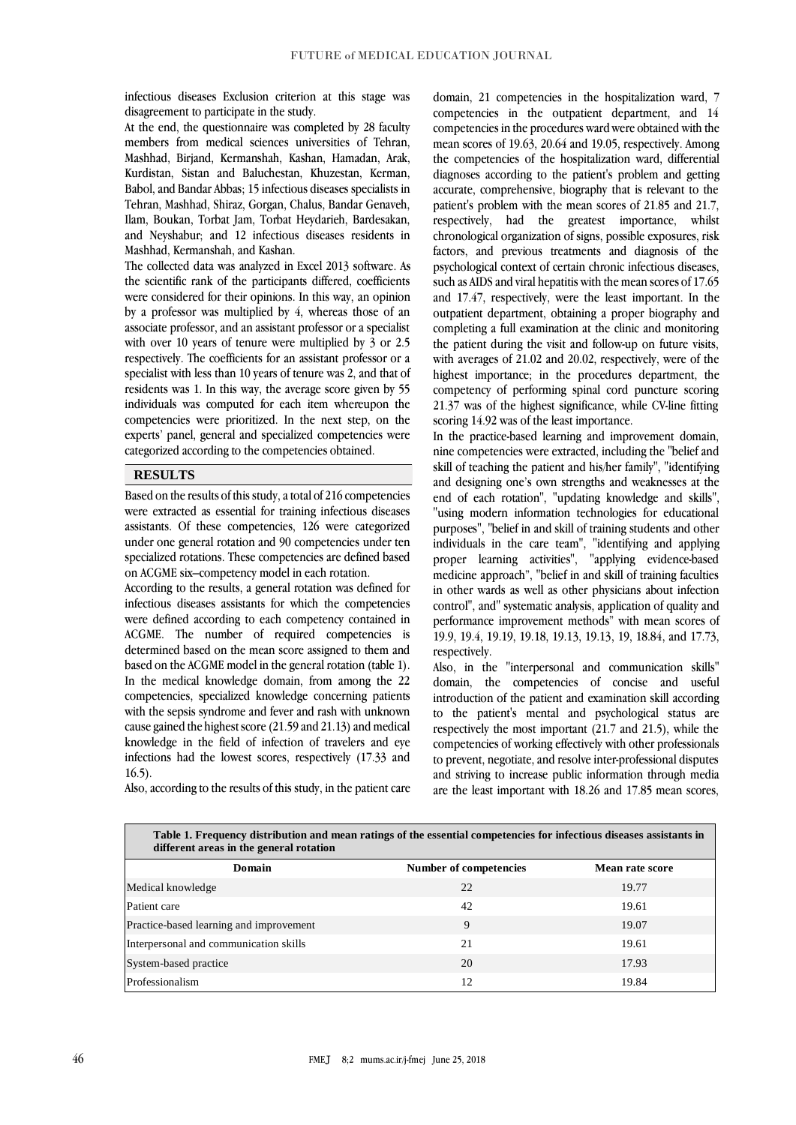infectious diseases Exclusion criterion at this stage was disagreement to participate in the study.

At the end, the questionnaire was completed by 28 faculty members from medical sciences universities of Tehran, Mashhad, Birjand, Kermanshah, Kashan, Hamadan, Arak, Kurdistan, Sistan and Baluchestan, Khuzestan, Kerman, Babol, and Bandar Abbas; 15 infectious diseases specialists in Tehran, Mashhad, Shiraz, Gorgan, Chalus, Bandar Genaveh, Ilam, Boukan, Torbat Jam, Torbat Heydarieh, Bardesakan, and Neyshabur; and 12 infectious diseases residents in Mashhad, Kermanshah, and Kashan.

The collected data was analyzed in Excel 2013 software. As the scientific rank of the participants differed, coefficients were considered for their opinions. In this way, an opinion by a professor was multiplied by 4, whereas those of an associate professor, and an assistant professor or a specialist with over 10 years of tenure were multiplied by 3 or 2.5 respectively. The coefficients for an assistant professor or a specialist with less than 10 years of tenure was 2, and that of residents was 1. In this way, the average score given by 55 individuals was computed for each item whereupon the competencies were prioritized. In the next step, on the experts' panel, general and specialized competencies were categorized according to the competencies obtained.

## **RESULTS**

Based on the results of this study, a total of 216 competencies were extracted as essential for training infectious diseases assistants. Of these competencies, 126 were categorized under one general rotation and 90 competencies under ten specialized rotations. These competencies are defined based on ACGME six–competency model in each rotation.

According to the results, a general rotation was defined for infectious diseases assistants for which the competencies were defined according to each competency contained in ACGME. The number of required competencies is determined based on the mean score assigned to them and based on the ACGME model in the general rotation (table 1). In the medical knowledge domain, from among the 22 competencies, specialized knowledge concerning patients with the sepsis syndrome and fever and rash with unknown cause gained the highest score (21.59 and 21.13) and medical knowledge in the field of infection of travelers and eye infections had the lowest scores, respectively (17.33 and 16.5).

domain, 21 competencies in the hospitalization ward, 7 competencies in the outpatient department, and 14 competencies in the procedures ward were obtained with the mean scores of 19.63, 20.64 and 19.05, respectively. Among the competencies of the hospitalization ward, differential diagnoses according to the patient's problem and getting accurate, comprehensive, biography that is relevant to the patient's problem with the mean scores of 21.85 and 21.7, respectively, had the greatest importance, whilst chronological organization of signs, possible exposures, risk factors, and previous treatments and diagnosis of the psychological context of certain chronic infectious diseases, such as AIDS and viral hepatitis with the mean scores of 17.65 and 17.47, respectively, were the least important. In the outpatient department, obtaining a proper biography and completing a full examination at the clinic and monitoring the patient during the visit and follow-up on future visits, with averages of 21.02 and 20.02, respectively, were of the highest importance; in the procedures department, the competency of performing spinal cord puncture scoring 21.37 was of the highest significance, while CV-line fitting scoring 14.92 was of the least importance.

In the practice-based learning and improvement domain, nine competencies were extracted, including the "belief and skill of teaching the patient and his/her family", "identifying and designing one's own strengths and weaknesses at the end of each rotation", "updating knowledge and skills", "using modern information technologies for educational purposes", "belief in and skill of training students and other individuals in the care team", "identifying and applying proper learning activities", "applying evidence-based medicine approach", "belief in and skill of training faculties in other wards as well as other physicians about infection control", and" systematic analysis, application of quality and performance improvement methods" with mean scores of 19.9, 19.4, 19.19, 19.18, 19.13, 19.13, 19, 18.84, and 17.73, respectively.

Also, in the "interpersonal and communication skills" domain, the competencies of concise and useful introduction of the patient and examination skill according to the patient's mental and psychological status are respectively the most important (21.7 and 21.5), while the competencies of working effectively with other professionals to prevent, negotiate, and resolve inter-professional disputes and striving to increase public information through media are the least important with 18.26 and 17.85 mean scores,

| Table 1. Frequency distribution and mean ratings of the essential competencies for infectious diseases assistants in<br>different areas in the general rotation |                        |                 |  |  |  |  |
|-----------------------------------------------------------------------------------------------------------------------------------------------------------------|------------------------|-----------------|--|--|--|--|
| Domain                                                                                                                                                          | Number of competencies | Mean rate score |  |  |  |  |
| Medical knowledge                                                                                                                                               | 22                     | 19.77           |  |  |  |  |
| Patient care                                                                                                                                                    | 42                     | 19.61           |  |  |  |  |
| Practice-based learning and improvement                                                                                                                         | 9                      | 19.07           |  |  |  |  |
| Interpersonal and communication skills                                                                                                                          | 21                     | 19.61           |  |  |  |  |
| System-based practice                                                                                                                                           | 20                     | 17.93           |  |  |  |  |
| Professionalism                                                                                                                                                 | 12                     | 19.84           |  |  |  |  |

Also, according to the results of this study, in the patient care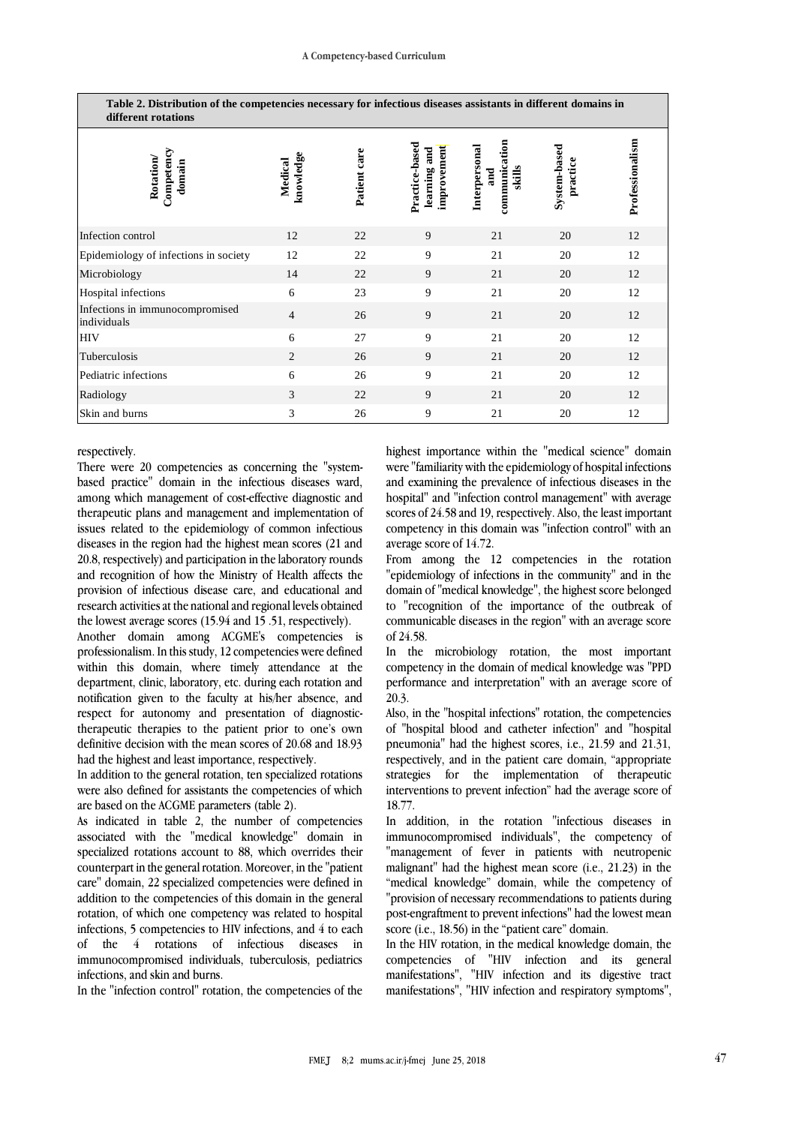| Table 2. Distribution of the competencies necessary for infectious diseases assistants in different domains in<br>different rotations |                      |              |                                               |                                                 |                          |                 |  |  |
|---------------------------------------------------------------------------------------------------------------------------------------|----------------------|--------------|-----------------------------------------------|-------------------------------------------------|--------------------------|-----------------|--|--|
| Competency<br><b>Rotation</b><br>domain                                                                                               | knowledge<br>Medical | Patient care | Practice-based<br>improvement<br>learning and | communication<br>Interpersonal<br>skills<br>and | System-based<br>practice | Professionalism |  |  |
| Infection control                                                                                                                     | 12                   | 22           | 9                                             | 21                                              | 20                       | 12              |  |  |
| Epidemiology of infections in society                                                                                                 | 12                   | 22           | 9                                             | 21                                              | 20                       | 12              |  |  |
| Microbiology                                                                                                                          | 14                   | 22           | 9                                             | 21                                              | 20                       | 12              |  |  |
| Hospital infections                                                                                                                   | 6                    | 23           | 9                                             | 21                                              | 20                       | 12              |  |  |
| Infections in immunocompromised<br>individuals                                                                                        | $\overline{4}$       | 26           | 9                                             | 21                                              | 20                       | 12              |  |  |
| HIV                                                                                                                                   | 6                    | 27           | 9                                             | 21                                              | 20                       | 12              |  |  |
| Tuberculosis                                                                                                                          | 2                    | 26           | 9                                             | 21                                              | 20                       | 12              |  |  |
| Pediatric infections                                                                                                                  | 6                    | 26           | 9                                             | 21                                              | 20                       | 12              |  |  |
| Radiology                                                                                                                             | 3                    | 22           | 9                                             | 21                                              | 20                       | 12              |  |  |
| Skin and burns                                                                                                                        | 3                    | 26           | 9                                             | 21                                              | 20                       | 12              |  |  |

respectively.

There were 20 competencies as concerning the "systembased practice" domain in the infectious diseases ward, among which management of cost-effective diagnostic and therapeutic plans and management and implementation of issues related to the epidemiology of common infectious diseases in the region had the highest mean scores (21 and 20.8, respectively) and participation in the laboratory rounds and recognition of how the Ministry of Health affects the provision of infectious disease care, and educational and research activities at the national and regional levels obtained the lowest average scores (15.94 and 15 .51, respectively).

Another domain among ACGME's competencies is professionalism. In this study, 12 competencies were defined within this domain, where timely attendance at the department, clinic, laboratory, etc. during each rotation and notification given to the faculty at his/her absence, and respect for autonomy and presentation of diagnostictherapeutic therapies to the patient prior to one's own definitive decision with the mean scores of 20.68 and 18.93 had the highest and least importance, respectively.

In addition to the general rotation, ten specialized rotations were also defined for assistants the competencies of which are based on the ACGME parameters (table 2).

As indicated in table 2, the number of competencies associated with the "medical knowledge" domain in specialized rotations account to 88, which overrides their counterpart in the general rotation. Moreover, in the "patient care" domain, 22 specialized competencies were defined in addition to the competencies of this domain in the general rotation, of which one competency was related to hospital infections, 5 competencies to HIV infections, and 4 to each of the 4 rotations of infectious diseases in immunocompromised individuals, tuberculosis, pediatrics infections, and skin and burns.

In the "infection control" rotation, the competencies of the

highest importance within the "medical science" domain were "familiarity with the epidemiology of hospital infections and examining the prevalence of infectious diseases in the hospital" and "infection control management" with average scores of 24.58 and 19, respectively. Also, the least important competency in this domain was "infection control" with an average score of 14.72.

From among the 12 competencies in the rotation "epidemiology of infections in the community" and in the domain of "medical knowledge", the highest score belonged to "recognition of the importance of the outbreak of communicable diseases in the region" with an average score of 24.58.

In the microbiology rotation, the most important competency in the domain of medical knowledge was "PPD performance and interpretation" with an average score of 20.3.

Also, in the "hospital infections" rotation, the competencies of "hospital blood and catheter infection" and "hospital pneumonia" had the highest scores, i.e., 21.59 and 21.31, respectively, and in the patient care domain, "appropriate strategies for the implementation of therapeutic interventions to prevent infection" had the average score of 18.77.

In addition, in the rotation "infectious diseases in immunocompromised individuals", the competency of "management of fever in patients with neutropenic malignant" had the highest mean score (i.e., 21.23) in the "medical knowledge" domain, while the competency of "provision of necessary recommendations to patients during post-engraftment to prevent infections" had the lowest mean score (i.e., 18.56) in the "patient care" domain.

In the HIV rotation, in the medical knowledge domain, the competencies of "HIV infection and its general manifestations", "HIV infection and its digestive tract manifestations", "HIV infection and respiratory symptoms",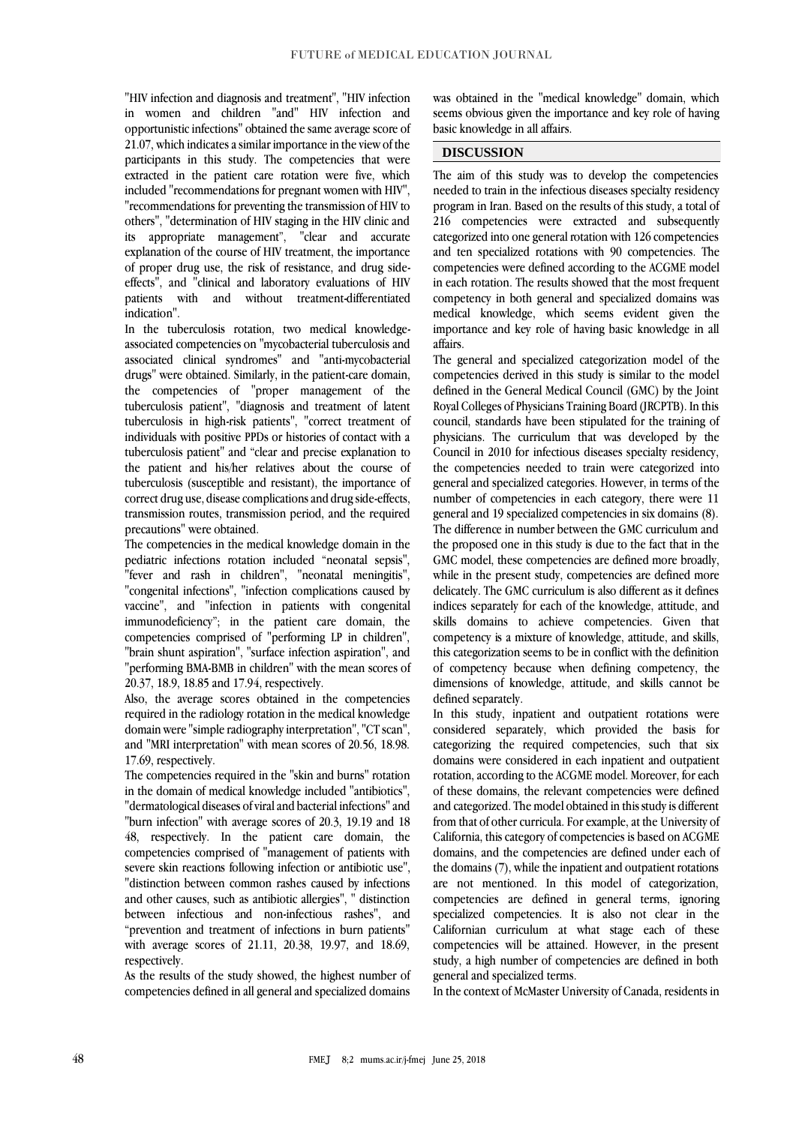"HIV infection and diagnosis and treatment", "HIV infection in women and children "and" HIV infection and opportunistic infections" obtained the same average score of 21.07, which indicates a similar importance in the view of the participants in this study. The competencies that were extracted in the patient care rotation were five, which included "recommendations for pregnant women with HIV", "recommendations for preventing the transmission of HIV to others", "determination of HIV staging in the HIV clinic and its appropriate management", "clear and accurate explanation of the course of HIV treatment, the importance of proper drug use, the risk of resistance, and drug sideeffects", and "clinical and laboratory evaluations of HIV patients with and without treatment-differentiated indication".

In the tuberculosis rotation, two medical knowledgeassociated competencies on "mycobacterial tuberculosis and associated clinical syndromes" and "anti-mycobacterial drugs" were obtained. Similarly, in the patient-care domain, the competencies of "proper management of the tuberculosis patient", "diagnosis and treatment of latent tuberculosis in high-risk patients", "correct treatment of individuals with positive PPDs or histories of contact with a tuberculosis patient" and "clear and precise explanation to the patient and his/her relatives about the course of tuberculosis (susceptible and resistant), the importance of correct drug use, disease complications and drug side-effects, transmission routes, transmission period, and the required precautions" were obtained.

The competencies in the medical knowledge domain in the pediatric infections rotation included "neonatal sepsis", "fever and rash in children", "neonatal meningitis", "congenital infections", "infection complications caused by vaccine", and "infection in patients with congenital immunodeficiency"; in the patient care domain, the competencies comprised of "performing LP in children", "brain shunt aspiration", "surface infection aspiration", and "performing BMA-BMB in children" with the mean scores of 20.37, 18.9, 18.85 and 17.94, respectively.

Also, the average scores obtained in the competencies required in the radiology rotation in the medical knowledge domain were "simple radiography interpretation", "CT scan", and "MRI interpretation" with mean scores of 20.56, 18.98. 17.69, respectively.

The competencies required in the "skin and burns" rotation in the domain of medical knowledge included "antibiotics", "dermatological diseases of viral and bacterial infections" and "burn infection" with average scores of 20.3, 19.19 and 18 48, respectively. In the patient care domain, the competencies comprised of "management of patients with severe skin reactions following infection or antibiotic use", "distinction between common rashes caused by infections and other causes, such as antibiotic allergies", " distinction between infectious and non-infectious rashes", and "prevention and treatment of infections in burn patients" with average scores of 21.11, 20.38, 19.97, and 18.69, respectively.

As the results of the study showed, the highest number of competencies defined in all general and specialized domains

was obtained in the "medical knowledge" domain, which seems obvious given the importance and key role of having basic knowledge in all affairs.

## **DISCUSSION**

The aim of this study was to develop the competencies needed to train in the infectious diseases specialty residency program in Iran. Based on the results of this study, a total of 216 competencies were extracted and subsequently categorized into one general rotation with 126 competencies and ten specialized rotations with 90 competencies. The competencies were defined according to the ACGME model in each rotation. The results showed that the most frequent competency in both general and specialized domains was medical knowledge, which seems evident given the importance and key role of having basic knowledge in all affairs.

The general and specialized categorization model of the competencies derived in this study is similar to the model defined in the General Medical Council (GMC) by the Joint Royal Colleges of Physicians Training Board (JRCPTB). In this council, standards have been stipulated for the training of physicians. The curriculum that was developed by the Council in 2010 for infectious diseases specialty residency, the competencies needed to train were categorized into general and specialized categories. However, in terms of the number of competencies in each category, there were 11 general and 19 specialized competencies in six domains (8). The difference in number between the GMC curriculum and the proposed one in this study is due to the fact that in the GMC model, these competencies are defined more broadly, while in the present study, competencies are defined more delicately. The GMC curriculum is also different as it defines indices separately for each of the knowledge, attitude, and skills domains to achieve competencies. Given that competency is a mixture of knowledge, attitude, and skills, this categorization seems to be in conflict with the definition of competency because when defining competency, the dimensions of knowledge, attitude, and skills cannot be defined separately.

In this study, inpatient and outpatient rotations were considered separately, which provided the basis for categorizing the required competencies, such that six domains were considered in each inpatient and outpatient rotation, according to the ACGME model. Moreover, for each of these domains, the relevant competencies were defined and categorized. The model obtained in this study is different from that of other curricula. For example, at the University of California, this category of competencies is based on ACGME domains, and the competencies are defined under each of the domains (7), while the inpatient and outpatient rotations are not mentioned. In this model of categorization, competencies are defined in general terms, ignoring specialized competencies. It is also not clear in the Californian curriculum at what stage each of these competencies will be attained. However, in the present study, a high number of competencies are defined in both general and specialized terms.

In the context of McMaster University of Canada, residents in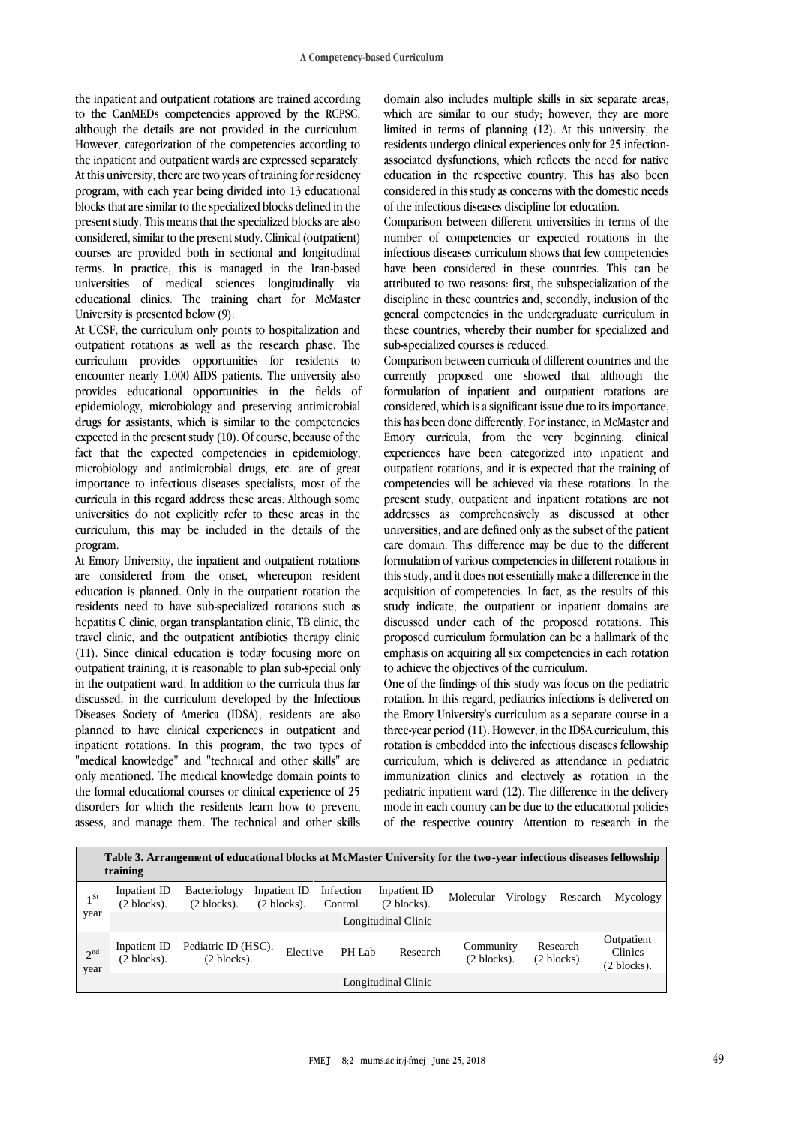the inpatient and outpatient rotations are trained according to the CanMEDs competencies approved by the RCPSC, although the details are not provided in the curriculum. However, categorization of the competencies according to the inpatient and outpatient wards are expressed separately. At this university, there are two years of training for residency program, with each year being divided into 13 educational blocks that are similar to the specialized blocks defined in the present study. This means that the specialized blocks are also considered, similar to the present study. Clinical (outpatient) courses are provided both in sectional and longitudinal terms. In practice, this is managed in the Iran-based universities of medical sciences longitudinally via educational clinics. The training chart for McMaster University is presented below (9).

At UCSF, the curriculum only points to hospitalization and outpatient rotations as well as the research phase. The curriculum provides opportunities for residents to encounter nearly 1,000 AIDS patients. The university also provides educational opportunities in the fields of epidemiology, microbiology and preserving antimicrobial drugs for assistants, which is similar to the competencies expected in the present study (10). Of course, because of the fact that the expected competencies in epidemiology, microbiology and antimicrobial drugs, etc. are of great importance to infectious diseases specialists, most of the curricula in this regard address these areas. Although some universities do not explicitly refer to these areas in the curriculum, this may be included in the details of the program.

At Emory University, the inpatient and outpatient rotations are considered from the onset, whereupon resident education is planned. Only in the outpatient rotation the residents need to have sub-specialized rotations such as hepatitis C clinic, organ transplantation clinic, TB clinic, the travel clinic, and the outpatient antibiotics therapy clinic (11). Since clinical education is today focusing more on outpatient training, it is reasonable to plan sub-special only in the outpatient ward. In addition to the curricula thus far discussed, in the curriculum developed by the Infectious Diseases Society of America (IDSA), residents are also planned to have clinical experiences in outpatient and inpatient rotations. In this program, the two types of "medical knowledge" and "technical and other skills" are only mentioned. The medical knowledge domain points to the formal educational courses or clinical experience of 25 disorders for which the residents learn how to prevent, assess, and manage them. The technical and other skills

domain also includes multiple skills in six separate areas, which are similar to our study; however, they are more limited in terms of planning (12). At this university, the residents undergo clinical experiences only for 25 infectionassociated dysfunctions, which reflects the need for native education in the respective country. This has also been considered in this study as concerns with the domestic needs of the infectious diseases discipline for education.

Comparison between different universities in terms of the number of competencies or expected rotations in the infectious diseases curriculum shows that few competencies have been considered in these countries. This can be attributed to two reasons: first, the subspecialization of the discipline in these countries and, secondly, inclusion of the general competencies in the undergraduate curriculum in these countries, whereby their number for specialized and sub-specialized courses is reduced.

Comparison between curricula of different countries and the currently proposed one showed that although the formulation of inpatient and outpatient rotations are considered, which is a significant issue due to its importance, this has been done differently. For instance, in McMaster and Emory curricula, from the very beginning, clinical experiences have been categorized into inpatient and outpatient rotations, and it is expected that the training of competencies will be achieved via these rotations. In the present study, outpatient and inpatient rotations are not addresses as comprehensively as discussed at other universities, and are defined only as the subset of the patient care domain. This difference may be due to the different formulation of various competencies in different rotations in this study, and it does not essentially make a difference in the acquisition of competencies. In fact, as the results of this study indicate, the outpatient or inpatient domains are discussed under each of the proposed rotations. This proposed curriculum formulation can be a hallmark of the emphasis on acquiring all six competencies in each rotation to achieve the objectives of the curriculum.

One of the findings of this study was focus on the pediatric rotation. In this regard, pediatrics infections is delivered on the Emory University's curriculum as a separate course in a three-year period (11). However, in the IDSA curriculum, this rotation is embedded into the infectious diseases fellowship curriculum, which is delivered as attendance in pediatric immunization clinics and electively as rotation in the pediatric inpatient ward (12). The difference in the delivery mode in each country can be due to the educational policies of the respective country. Attention to research in the

| Table 3. Arrangement of educational blocks at McMaster University for the two-year infectious diseases fellowship<br>training |                                       |                                              |                                       |                      |                                       |                            |          |                                    |                                                |
|-------------------------------------------------------------------------------------------------------------------------------|---------------------------------------|----------------------------------------------|---------------------------------------|----------------------|---------------------------------------|----------------------------|----------|------------------------------------|------------------------------------------------|
| $1^{St}$                                                                                                                      | Inpatient ID<br>(2 blocks).           | Bacteriology<br>$(2 \text{ blocks}).$        | Inpatient ID<br>$(2 \text{ blocks}).$ | Infection<br>Control | Inpatient ID<br>$(2 \text{ blocks}).$ | Molecular                  | Virology | Research                           | Mycology                                       |
|                                                                                                                               | year<br>Longitudinal Clinic           |                                              |                                       |                      |                                       |                            |          |                                    |                                                |
| 2 <sup>nd</sup><br>year                                                                                                       | Inpatient ID<br>$(2 \text{ blocks}).$ | Pediatric ID (HSC).<br>$(2 \text{ blocks}).$ | Elective                              | PH Lab               | Research                              | Community<br>$(2$ blocks). |          | Research<br>$(2 \text{ blocks})$ . | Outpatient<br>Clinics<br>$(2 \text{ blocks}).$ |
| Longitudinal Clinic                                                                                                           |                                       |                                              |                                       |                      |                                       |                            |          |                                    |                                                |